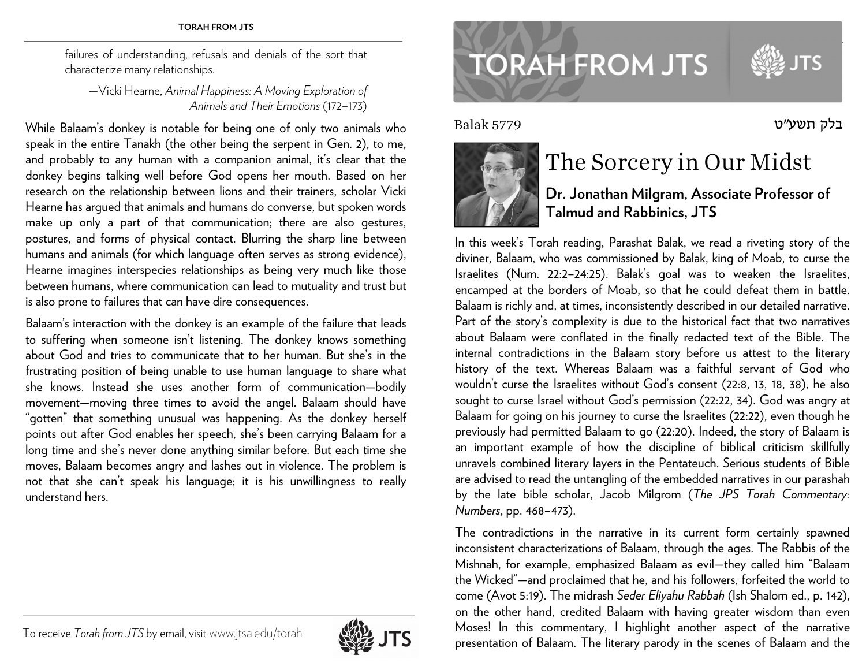#### **TORAH FROM JTS** www.jtsa.edu/torah intervention and torate and torate and torate and torate and torate and torate and torate and torate and torate and torate and torate and torate and torate and torate and torate and tora

failures of understanding, refusals and denials of the sort that characterize many relationships.

—Vicki Hearne, *Animal Happiness: A Moving Exploration of Animals and Their Emotions* (172–173)

While Balaam's donkey is notable for being one of only two animals who speak in the entire Tanakh (the other being the serpent in Gen. 2), to me, and probably to any human with a companion animal, it's clear that the donkey begins talking well before God opens her mouth. Based on her research on the relationship between lions and their trainers, scholar Vicki Hearne has argued that animals and humans do converse, but spoken words make up only a part of that communication; there are also gestures, postures, and forms of physical contact. Blurring the sharp line between humans and animals (for which language often serves as strong evidence), Hearne imagines interspecies relationships as being very much like those between humans, where communication can lead to mutuality and trust but is also prone to failures that can have dire consequences.

Balaam's interaction with the donkey is an example of the failure that leads to suffering when someone isn't listening. The donkey knows something about God and tries to communicate that to her human. But she's in the frustrating position of being unable to use human language to share what she knows. Instead she uses another form of communication—bodily movement—moving three times to avoid the angel. Balaam should have "gotten" that something unusual was happening. As the donkey herself points out after God enables her speech, she's been carrying Balaam for a long time and she's never done anything similar before. But each time she moves, Balaam becomes angry and lashes out in violence. The problem is not that she can't speak his language; it is his unwillingness to really understand hers.



# **TORAH FROM JTS**

Balak 5779



## The Sorcery in Our Midst

#### **Dr. Jonathan Milgram, Associate Professor of Talmud and Rabbinics, JTS**

בלק תשע"<sup>ט</sup>

In this week's Torah reading, Parashat Balak, we read a riveting story of the diviner, Balaam, who was commissioned by Balak, king of Moab, to curse the Israelites (Num. 22:2–24:25). Balak's goal was to weaken the Israelites, encamped at the borders of Moab, so that he could defeat them in battle. Balaam is richly and, at times, inconsistently described in our detailed narrative. Part of the story's complexity is due to the historical fact that two narratives about Balaam were conflated in the finally redacted text of the Bible. The internal contradictions in the Balaam story before us attest to the literary history of the text. Whereas Balaam was a faithful servant of God who wouldn't curse the Israelites without God's consent (22:8, 13, 18, 38), he also sought to curse Israel without God's permission (22:22, 34). God was angry at Balaam for going on his journey to curse the Israelites (22:22), even though he previously had permitted Balaam to go (22:20). Indeed, the story of Balaam is an important example of how the discipline of biblical criticism skillfully unravels combined literary layers in the Pentateuch. Serious students of Bible are advised to read the untangling of the embedded narratives in our parashah by the late bible scholar, Jacob Milgrom (*The JPS Torah Commentary: Numbers*, pp. 468–473).

The contradictions in the narrative in its current form certainly spawned inconsistent characterizations of Balaam, through the ages. The Rabbis of the Mishnah, for example, emphasized Balaam as evil—they called him "Balaam the Wicked"—and proclaimed that he, and his followers, forfeited the world to come (Avot 5:19). The midrash *Seder Eliyahu Rabbah* (Ish Shalom ed., p. 142), on the other hand, credited Balaam with having greater wisdom than even Moses! In this commentary, I highlight another aspect of the narrative presentation of Balaam. The literary parody in the scenes of Balaam and the